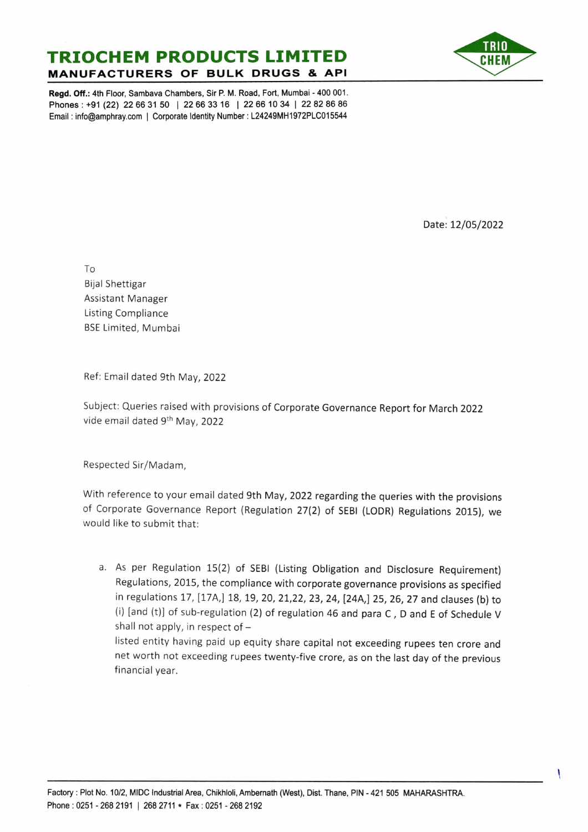## TRIOCHEM PRODUCTS LIMITED **MANUFACTURERS OF BULK DRUGS & API**



Regd. Off.: 4th Floor, Sambava Chambers, Sir P. M. Road, Fort, Mumbai -400 001. Phones: +91 (22) 22 66 31 50 | 22 66 33 16 | 22 66 10 34 | 22 82 86 86 Email: info@amphray.com | Corporate Identity Number: L24249MH1972PLC015544

Date: 12/05/2022

To

Bijal Shettigar Assistant Manager Listing Compliance BSE Limited, Mumbai

Ref: Email dated 9th May, 2022

Subject: Queries raised with provisions of Corporate Governance Report for March 2022 vide email dated 9th May, 2022

Respected Sir/Madam,

With reference to your email dated 9th May, 2022 regarding the queries with the provisions of Corporate Governance Report (Regulation 27(2) of SEBI (LODR) Regulations 2015), we would like to submit that:

a. As per Regulation 15(2) of SEBl (Listing Obligation and Disclosure Requirement) Regulations, 2015, the compliance with corporate governance provisions as specified in regulations 17, [17A,] 18, 19, 20, 21, 22, 23, 24, [24A,] 25, 26, 27 and clauses (b) to (i) [and (t)] of sub-regulation (2) of regulation 46 and para C , D and E of Schedule V shall not apply, in respect of  $-$ 

listed entity having paid up equity share capital not exceeding rupees ten crore and net worth not exceeding rupees twenty~five crore, as on the last day of the previous financial year.